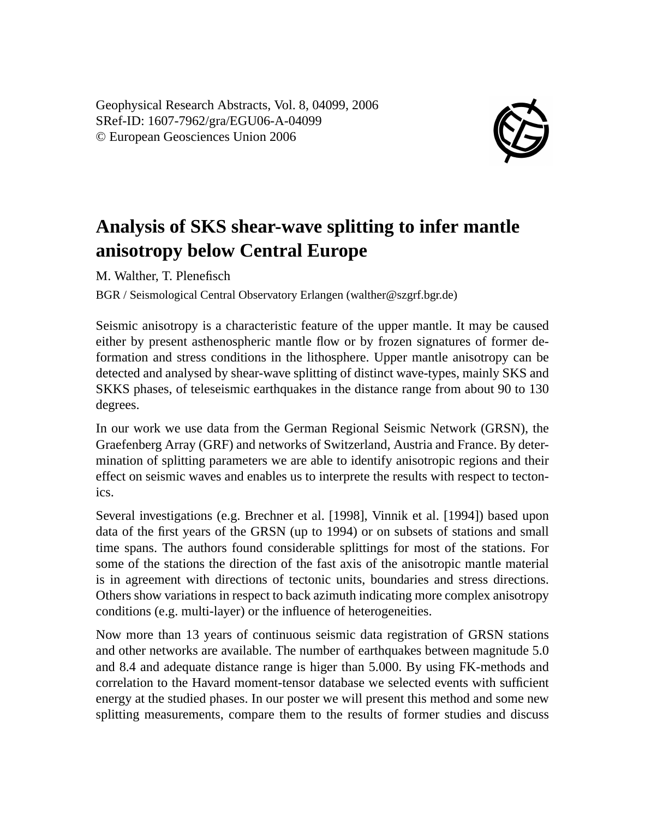Geophysical Research Abstracts, Vol. 8, 04099, 2006 SRef-ID: 1607-7962/gra/EGU06-A-04099 © European Geosciences Union 2006



## **Analysis of SKS shear-wave splitting to infer mantle anisotropy below Central Europe**

M. Walther, T. Plenefisch

BGR / Seismological Central Observatory Erlangen (walther@szgrf.bgr.de)

Seismic anisotropy is a characteristic feature of the upper mantle. It may be caused either by present asthenospheric mantle flow or by frozen signatures of former deformation and stress conditions in the lithosphere. Upper mantle anisotropy can be detected and analysed by shear-wave splitting of distinct wave-types, mainly SKS and SKKS phases, of teleseismic earthquakes in the distance range from about 90 to 130 degrees.

In our work we use data from the German Regional Seismic Network (GRSN), the Graefenberg Array (GRF) and networks of Switzerland, Austria and France. By determination of splitting parameters we are able to identify anisotropic regions and their effect on seismic waves and enables us to interprete the results with respect to tectonics.

Several investigations (e.g. Brechner et al. [1998], Vinnik et al. [1994]) based upon data of the first years of the GRSN (up to 1994) or on subsets of stations and small time spans. The authors found considerable splittings for most of the stations. For some of the stations the direction of the fast axis of the anisotropic mantle material is in agreement with directions of tectonic units, boundaries and stress directions. Others show variations in respect to back azimuth indicating more complex anisotropy conditions (e.g. multi-layer) or the influence of heterogeneities.

Now more than 13 years of continuous seismic data registration of GRSN stations and other networks are available. The number of earthquakes between magnitude 5.0 and 8.4 and adequate distance range is higer than 5.000. By using FK-methods and correlation to the Havard moment-tensor database we selected events with sufficient energy at the studied phases. In our poster we will present this method and some new splitting measurements, compare them to the results of former studies and discuss